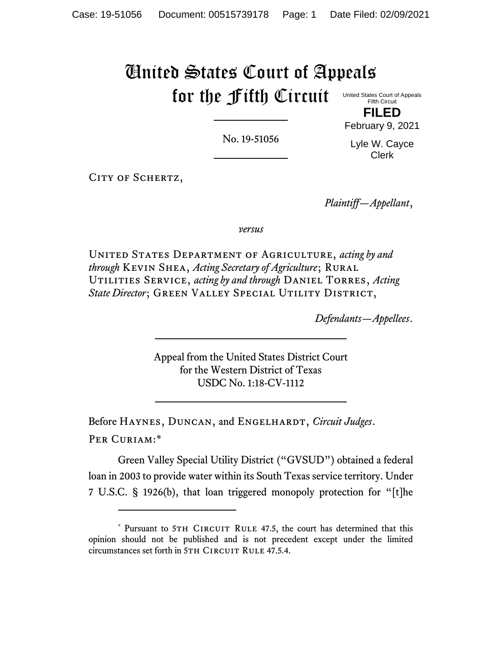## United States Court of Appeals for the Fifth Circuit United States Court of Appeals

No. 19-51056

Fifth Circuit **FILED**

February 9, 2021 Lyle W. Cayce

Clerk

CITY OF SCHERTZ,

*Plaintiff—Appellant*,

*versus*

United States Department of Agriculture, *acting by and through* Kevin Shea, *Acting Secretary of Agriculture*; Rural Utilities Service, *acting by and through* Daniel Torres, *Acting*  State Director; GREEN VALLEY SPECIAL UTILITY DISTRICT,

*Defendants—Appellees*.

Appeal from the United States District Court for the Western District of Texas USDC No. 1:18-CV-1112

Before HAYNES, DUNCAN, and ENGELHARDT, *Circuit Judges*. Per Curiam:\*

Green Valley Special Utility District ("GVSUD") obtained a federal loan in 2003 to provide water within its South Texas service territory. Under 7 U.S.C. § 1926(b), that loan triggered monopoly protection for "[t]he

<sup>\*</sup> Pursuant to 5TH CIRCUIT RULE 47.5, the court has determined that this opinion should not be published and is not precedent except under the limited circumstances set forth in 5TH CIRCUIT RULE 47.5.4.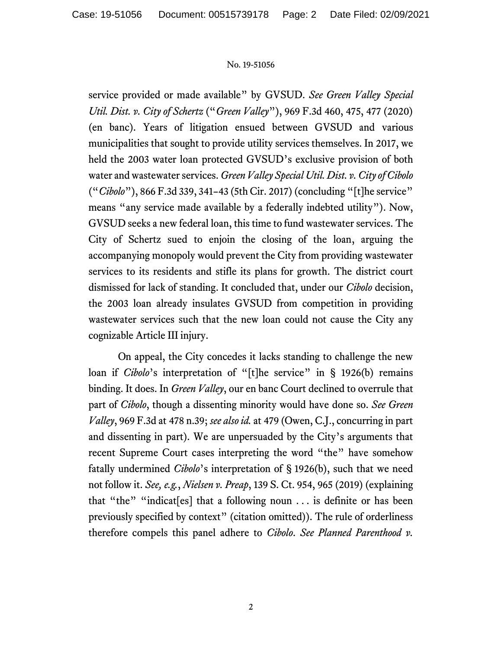## No. 19-51056

service provided or made available" by GVSUD. *See Green Valley Special Util. Dist. v. City of Schertz* ("*Green Valley*"), 969 F.3d 460, 475, 477 (2020) (en banc). Years of litigation ensued between GVSUD and various municipalities that sought to provide utility services themselves. In 2017, we held the 2003 water loan protected GVSUD's exclusive provision of both water and wastewater services. *Green Valley Special Util. Dist. v. City of Cibolo* ("*Cibolo*"), 866 F.3d 339, 341–43 (5th Cir. 2017) (concluding "[t]he service" means "any service made available by a federally indebted utility"). Now, GVSUD seeks a new federal loan, this time to fund wastewater services. The City of Schertz sued to enjoin the closing of the loan, arguing the accompanying monopoly would prevent the City from providing wastewater services to its residents and stifle its plans for growth. The district court dismissed for lack of standing. It concluded that, under our *Cibolo* decision, the 2003 loan already insulates GVSUD from competition in providing wastewater services such that the new loan could not cause the City any cognizable Article III injury.

On appeal, the City concedes it lacks standing to challenge the new loan if *Cibolo*'s interpretation of "[t]he service" in § 1926(b) remains binding. It does. In *Green Valley*, our en banc Court declined to overrule that part of *Cibolo*, though a dissenting minority would have done so. *See Green Valley*, 969 F.3d at 478 n.39; *see also id.* at 479 (Owen, C.J., concurring in part and dissenting in part). We are unpersuaded by the City's arguments that recent Supreme Court cases interpreting the word "the" have somehow fatally undermined *Cibolo*'s interpretation of § 1926(b), such that we need not follow it. *See, e.g.*, *Nielsen v. Preap*, 139 S. Ct. 954, 965 (2019) (explaining that "the" "indicat[es] that a following noun . . . is definite or has been previously specified by context" (citation omitted)). The rule of orderliness therefore compels this panel adhere to *Cibolo*. *See Planned Parenthood v.*